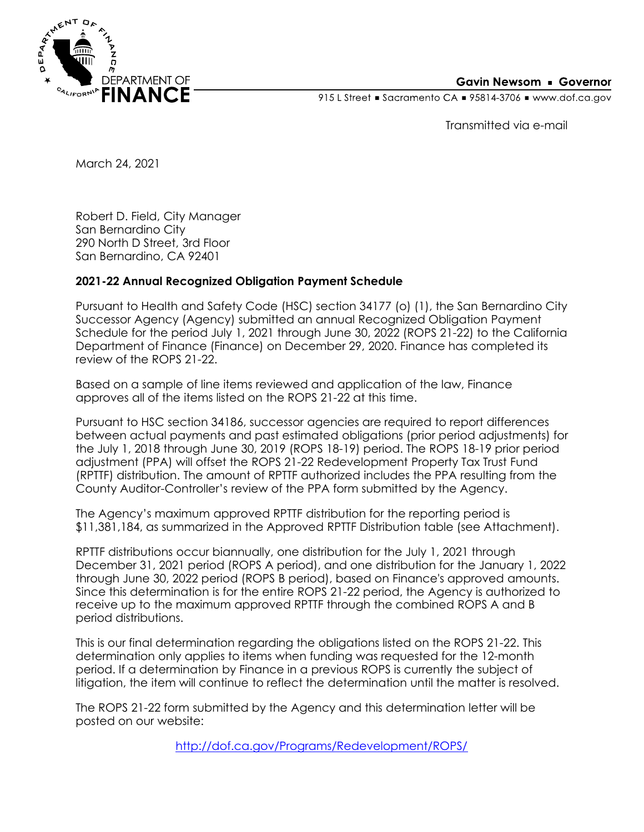

## **Gavin Newsom • Governor**

915 L Street Gacramento CA = 95814-3706 Www.dof.ca.gov

Transmitted via e-mail

March 24, 2021

Robert D. Field, City Manager San Bernardino City 290 North D Street, 3rd Floor San Bernardino, CA 92401

## **2021-22 Annual Recognized Obligation Payment Schedule**

Pursuant to Health and Safety Code (HSC) section 34177 (o) (1), the San Bernardino City Successor Agency (Agency) submitted an annual Recognized Obligation Payment Schedule for the period July 1, 2021 through June 30, 2022 (ROPS 21-22) to the California Department of Finance (Finance) on December 29, 2020. Finance has completed its review of the ROPS 21-22.

Based on a sample of line items reviewed and application of the law, Finance approves all of the items listed on the ROPS 21-22 at this time.

Pursuant to HSC section 34186, successor agencies are required to report differences between actual payments and past estimated obligations (prior period adjustments) for the July 1, 2018 through June 30, 2019 (ROPS 18-19) period. The ROPS 18-19 prior period adjustment (PPA) will offset the ROPS 21-22 Redevelopment Property Tax Trust Fund (RPTTF) distribution. The amount of RPTTF authorized includes the PPA resulting from the County Auditor-Controller's review of the PPA form submitted by the Agency.

The Agency's maximum approved RPTTF distribution for the reporting period is \$11,381,184, as summarized in the Approved RPTTF Distribution table (see Attachment).

RPTTF distributions occur biannually, one distribution for the July 1, 2021 through December 31, 2021 period (ROPS A period), and one distribution for the January 1, 2022 through June 30, 2022 period (ROPS B period), based on Finance's approved amounts. Since this determination is for the entire ROPS 21-22 period, the Agency is authorized to receive up to the maximum approved RPTTF through the combined ROPS A and B period distributions.

This is our final determination regarding the obligations listed on the ROPS 21-22. This determination only applies to items when funding was requested for the 12-month period. If a determination by Finance in a previous ROPS is currently the subject of litigation, the item will continue to reflect the determination until the matter is resolved.

The ROPS 21-22 form submitted by the Agency and this determination letter will be posted on our website:

<http://dof.ca.gov/Programs/Redevelopment/ROPS/>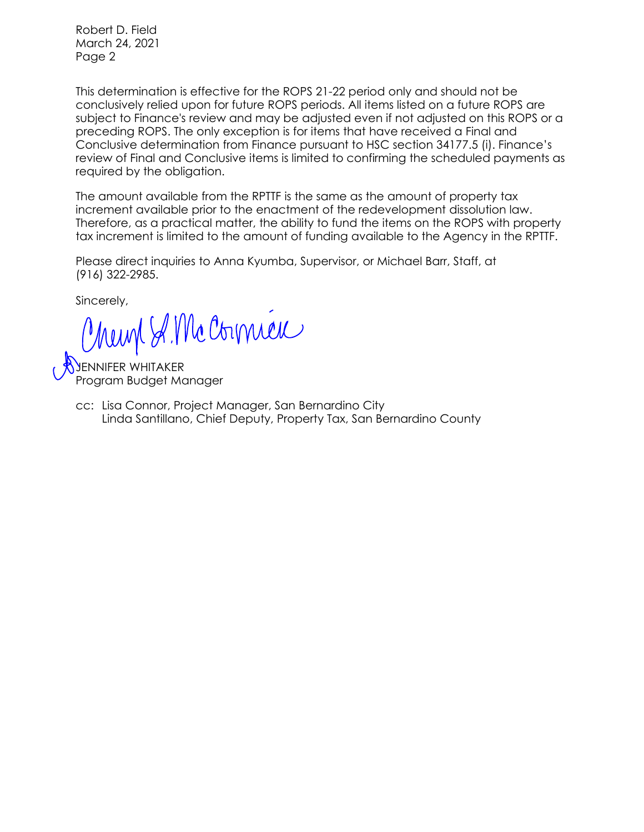Robert D. Field March 24, 2021 Page 2

This determination is effective for the ROPS 21-22 period only and should not be conclusively relied upon for future ROPS periods. All items listed on a future ROPS are subject to Finance's review and may be adjusted even if not adjusted on this ROPS or a preceding ROPS. The only exception is for items that have received a Final and Conclusive determination from Finance pursuant to HSC section 34177.5 (i). Finance's review of Final and Conclusive items is limited to confirming the scheduled payments as required by the obligation.

The amount available from the RPTTF is the same as the amount of property tax increment available prior to the enactment of the redevelopment dissolution law. Therefore, as a practical matter, the ability to fund the items on the ROPS with property tax increment is limited to the amount of funding available to the Agency in the RPTTF.

Please direct inquiries to Anna Kyumba, Supervisor, or Michael Barr, Staff, at (916) 322-2985.

Sincerely,

Munt S. Mc Cornici

JENNIFER WHITAKER Program Budget Manager

cc: Lisa Connor, Project Manager, San Bernardino City Linda Santillano, Chief Deputy, Property Tax, San Bernardino County